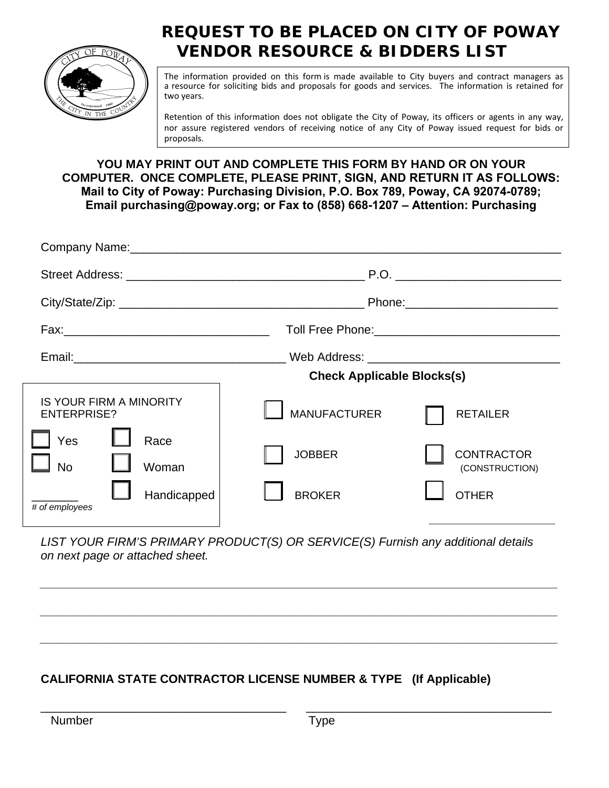

# **REQUEST TO BE PLACED ON CITY OF POWAY VENDOR RESOURCE & BIDDERS LIST**

The information provided on this form is made available to City buyers and contract managers as a resource for soliciting bids and proposals for goods and services. The information is retained for two years.

Retention of this information does not obligate the City of Poway, its officers or agents in any way, nor assure registered vendors of receiving notice of any City of Poway issued request for bids or proposals.

**YOU MAY PRINT OUT AND COMPLETE THIS FORM BY HAND OR ON YOUR COMPUTER. ONCE COMPLETE, PLEASE PRINT, SIGN, AND RETURN IT AS FOLLOWS: Mail to City of Poway: Purchasing Division, P.O. Box 789, Poway, CA 92074-0789; Email [purchasing@poway.org](mailto:Purchasing@ci.poway.ca.us); or Fax to (858) 668-1207 – Attention: Purchasing**

|                                                                                                                            | Phone: 2000 2000 2010 2010 2020 2020 2021 2021 2022 2021 2021 2021 2022 2022 2022 2021 2021 2022 2022 2021 20 |                                                                        |  |
|----------------------------------------------------------------------------------------------------------------------------|---------------------------------------------------------------------------------------------------------------|------------------------------------------------------------------------|--|
|                                                                                                                            |                                                                                                               |                                                                        |  |
|                                                                                                                            | <b>Check Applicable Blocks(s)</b>                                                                             |                                                                        |  |
| <b>IS YOUR FIRM A MINORITY</b><br><b>ENTERPRISE?</b><br>Yes<br>Race<br><b>No</b><br>Woman<br>Handicapped<br># of employees | <b>MANUFACTURER</b><br><b>JOBBER</b><br><b>BROKER</b>                                                         | <b>RETAILER</b><br><b>CONTRACTOR</b><br>(CONSTRUCTION)<br><b>OTHER</b> |  |
|                                                                                                                            |                                                                                                               |                                                                        |  |

*LIST YOUR FIRM'S PRIMARY PRODUCT(S) OR SERVICE(S) Furnish any additional details on next page or attached sheet.* 

*\_\_\_\_\_\_\_\_\_\_\_\_\_\_\_\_\_\_\_\_\_\_\_\_\_\_\_\_\_\_\_\_\_\_\_\_\_\_\_\_\_\_\_\_\_\_\_\_\_\_\_\_\_\_\_\_\_\_\_\_\_\_\_\_\_\_\_\_\_\_\_\_\_\_\_\_\_\_* 

*\_\_\_\_\_\_\_\_\_\_\_\_\_\_\_\_\_\_\_\_\_\_\_\_\_\_\_\_\_\_\_\_\_\_\_\_\_\_\_\_\_\_\_\_\_\_\_\_\_\_\_\_\_\_\_\_\_\_\_\_\_\_\_\_\_\_\_\_\_\_\_\_\_\_\_\_\_\_* 

*\_\_\_\_\_\_\_\_\_\_\_\_\_\_\_\_\_\_\_\_\_\_\_\_\_\_\_\_\_\_\_\_\_\_\_\_\_\_\_\_\_\_\_\_\_\_\_\_\_\_\_\_\_\_\_\_\_\_\_\_\_\_\_\_\_\_\_\_\_\_\_\_\_\_\_\_\_\_* 

\_\_\_\_\_\_\_\_\_\_\_\_\_\_\_\_\_\_\_\_\_\_\_\_\_\_\_\_\_\_\_\_\_\_\_\_\_ \_\_\_\_\_\_\_\_\_\_\_\_\_\_\_\_\_\_\_\_\_\_\_\_\_\_\_\_\_\_\_\_\_\_\_\_\_

## **CALIFORNIA STATE CONTRACTOR LICENSE NUMBER & TYPE (If Applicable)**

Number **Number Type**